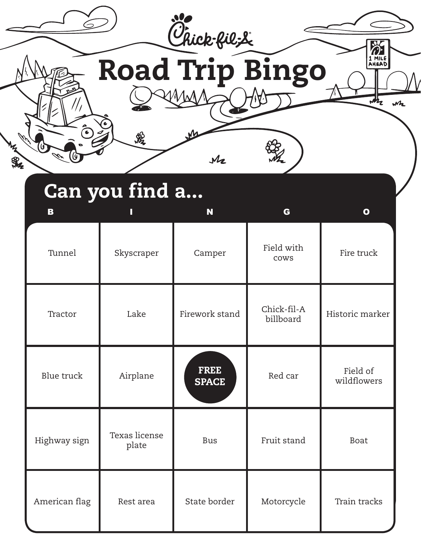

| Tunnel            | Skyscraper             | Camper                      | Field with<br>cows       | Fire truck              |
|-------------------|------------------------|-----------------------------|--------------------------|-------------------------|
| Tractor           | Lake                   | Firework stand              | Chick-fil-A<br>billboard | Historic marker         |
| <b>Blue</b> truck | Airplane               | <b>FREE</b><br><b>SPACE</b> | Red car                  | Field of<br>wildflowers |
| Highway sign      | Texas license<br>plate | <b>Bus</b>                  | Fruit stand              | <b>Boat</b>             |
| American flag     | Rest area              | State border                | Motorcycle               | Train tracks            |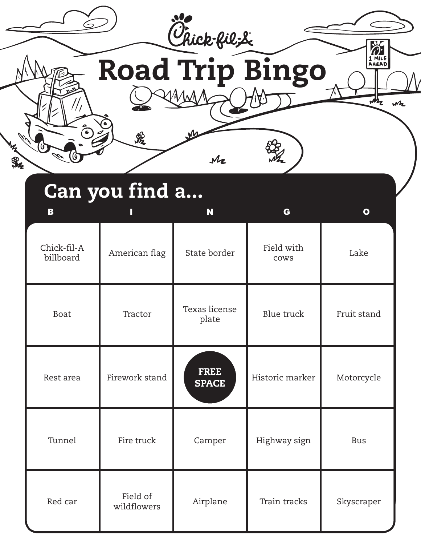

| Boat      | Tractor                 | Texas license<br>plate      | Blue truck      | Fruit stand |
|-----------|-------------------------|-----------------------------|-----------------|-------------|
| Rest area | Firework stand          | <b>FREE</b><br><b>SPACE</b> | Historic marker | Motorcycle  |
| Tunnel    | Fire truck              | Camper                      | Highway sign    | <b>Bus</b>  |
| Red car   | Field of<br>wildflowers | Airplane                    | Train tracks    | Skyscraper  |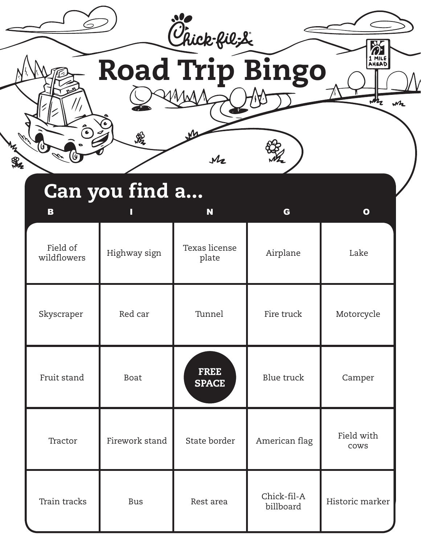

| Can you find a |  |
|----------------|--|
|                |  |

| B                       | П              | N                           | G                        | $\mathbf{o}$       |
|-------------------------|----------------|-----------------------------|--------------------------|--------------------|
| Field of<br>wildflowers | Highway sign   | Texas license<br>plate      | Airplane                 | Lake               |
| Skyscraper              | Red car        | Tunnel                      | Fire truck               | Motorcycle         |
| Fruit stand             | <b>Boat</b>    | <b>FREE</b><br><b>SPACE</b> | <b>Blue</b> truck        | Camper             |
| Tractor                 | Firework stand | State border                | American flag            | Field with<br>cows |
| Train tracks            | <b>Bus</b>     | Rest area                   | Chick-fil-A<br>billboard | Historic marker    |